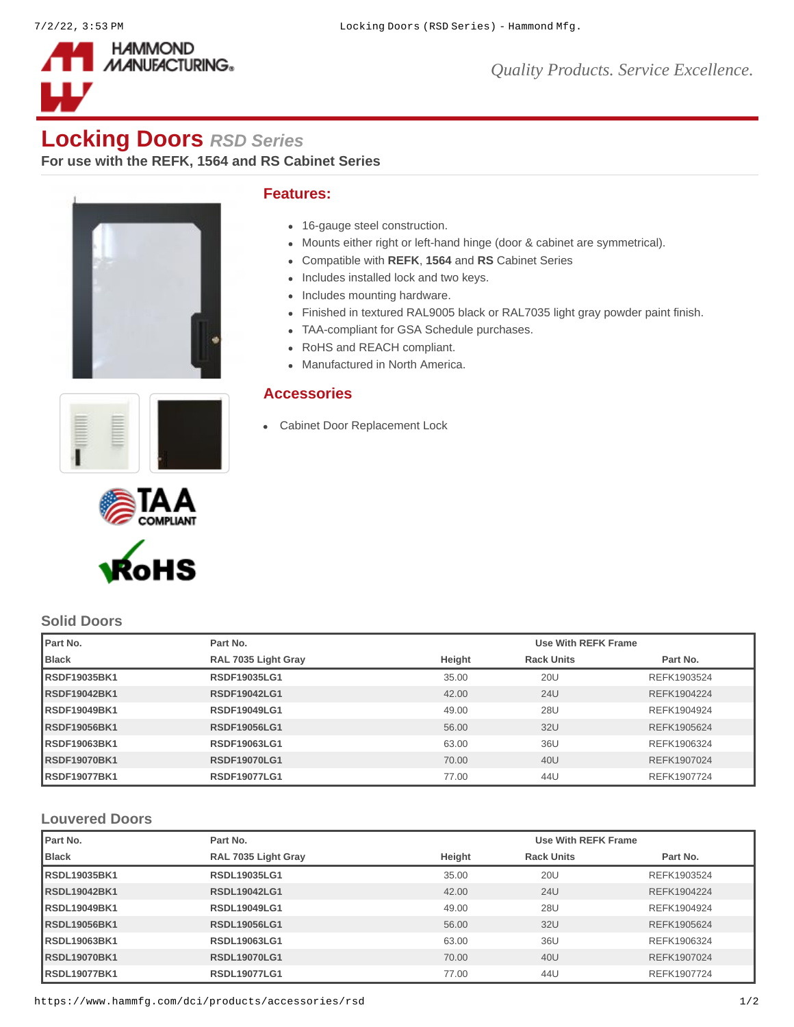

*Quality Products. Service Excellence.*

# **Locking Doors** *RSD Series*

**For use with the REFK, 1564 and RS Cabinet Series**



# **Features:**

- 16-gauge steel construction.
- Mounts either right or left-hand hinge (door & cabinet are symmetrical).
- Compatible with **[REFK](https://www.hammfg.com/product/refk)**, **[1564](https://www.hammfg.com/product/1564)** and **[RS](https://www.hammfg.com/product/rs)** Cabinet Series
- Includes installed lock and two keys.
- Includes mounting hardware.
- Finished in textured RAL9005 black or RAL7035 light gray powder paint finish.
- TAA-compliant for GSA Schedule purchases.
- RoHS and REACH compliant.
- Manufactured in North America.

# **Accessories**

[Cabinet Door Replacement Lock](https://www.hammfg.com/dci/products/accessories/cdqtrl?referer=1527&itm_type=accessory)







# **Solid Doors**

| <b>I</b> Part No.    | Part No.            |        | Use With REFK Frame |             |  |
|----------------------|---------------------|--------|---------------------|-------------|--|
| Black                | RAL 7035 Light Gray | Height | <b>Rack Units</b>   | Part No.    |  |
| <b>IRSDF19035BK1</b> | <b>RSDF19035LG1</b> | 35.00  | <b>20U</b>          | REFK1903524 |  |
| <b>RSDF19042BK1</b>  | <b>RSDF19042LG1</b> | 42.00  | 24U                 | REFK1904224 |  |
| <b>RSDF19049BK1</b>  | <b>RSDF19049LG1</b> | 49.00  | <b>28U</b>          | REFK1904924 |  |
| <b>RSDF19056BK1</b>  | <b>RSDF19056LG1</b> | 56.00  | 32U                 | REFK1905624 |  |
| <b>RSDF19063BK1</b>  | <b>RSDF19063LG1</b> | 63.00  | 36U                 | REFK1906324 |  |
| <b>RSDF19070BK1</b>  | <b>RSDF19070LG1</b> | 70.00  | 40U                 | REFK1907024 |  |
| <b>IRSDF19077BK1</b> | <b>RSDF19077LG1</b> | 77.00  | 44U                 | REFK1907724 |  |

#### **Louvered Doors**

| Part No.             | Part No.            |        | Use With REFK Frame |             |  |
|----------------------|---------------------|--------|---------------------|-------------|--|
| Black                | RAL 7035 Light Gray | Height | <b>Rack Units</b>   | Part No.    |  |
| <b>IRSDL19035BK1</b> | <b>RSDL19035LG1</b> | 35.00  | 20U                 | REFK1903524 |  |
| <b>RSDL19042BK1</b>  | <b>RSDL19042LG1</b> | 42.00  | 24U                 | REFK1904224 |  |
| <b>IRSDL19049BK1</b> | <b>RSDL19049LG1</b> | 49.00  | 28U                 | REFK1904924 |  |
| <b>RSDL19056BK1</b>  | <b>RSDL19056LG1</b> | 56.00  | 32U                 | REFK1905624 |  |
| <b>IRSDL19063BK1</b> | <b>RSDL19063LG1</b> | 63.00  | 36U                 | REFK1906324 |  |
| <b>RSDL19070BK1</b>  | <b>RSDL19070LG1</b> | 70.00  | 40U                 | REFK1907024 |  |
| <b>IRSDL19077BK1</b> | <b>RSDL19077LG1</b> | 77.00  | 44U                 | REFK1907724 |  |